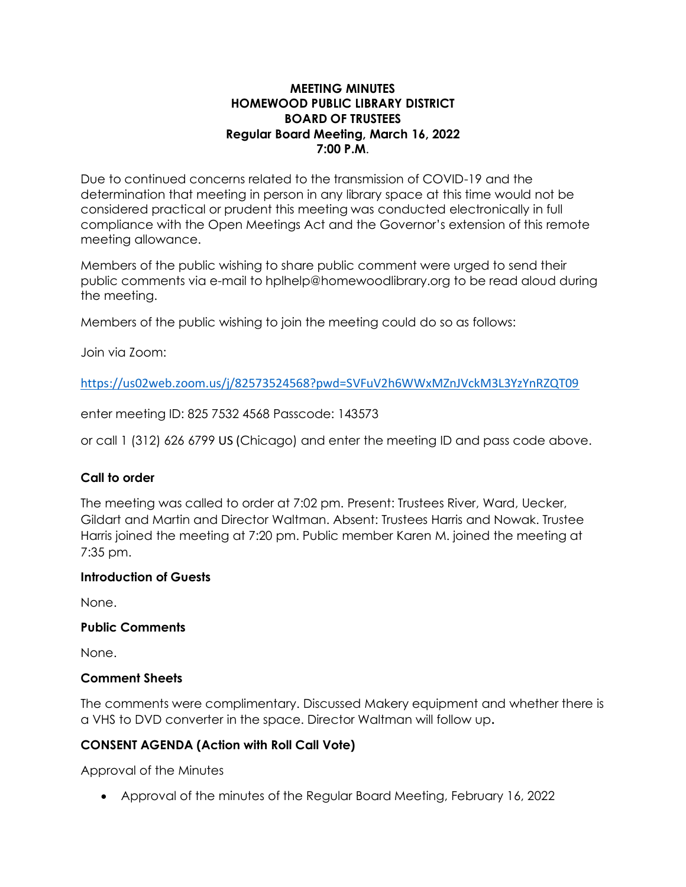### **MEETING MINUTES HOMEWOOD PUBLIC LIBRARY DISTRICT BOARD OF TRUSTEES Regular Board Meeting, March 16, 2022 7:00 P.M**.

Due to continued concerns related to the transmission of COVID-19 and the determination that meeting in person in any library space at this time would not be considered practical or prudent this meeting was conducted electronically in full compliance with the Open Meetings Act and the Governor's extension of this remote meeting allowance.

Members of the public wishing to share public comment were urged to send their public comments via e-mail to hplhelp@homewoodlibrary.org to be read aloud during the meeting.

Members of the public wishing to join the meeting could do so as follows:

Join via Zoom:

<https://us02web.zoom.us/j/82573524568?pwd=SVFuV2h6WWxMZnJVckM3L3YzYnRZQT09>

enter meeting ID: 825 7532 4568 Passcode: 143573

or call 1 (312) 626 6799 US (Chicago) and enter the meeting ID and pass code above.

## **Call to order**

The meeting was called to order at 7:02 pm. Present: Trustees River, Ward, Uecker, Gildart and Martin and Director Waltman. Absent: Trustees Harris and Nowak. Trustee Harris joined the meeting at 7:20 pm. Public member Karen M. joined the meeting at 7:35 pm.

#### **Introduction of Guests**

None.

#### **Public Comments**

None.

#### **Comment Sheets**

The comments were complimentary. Discussed Makery equipment and whether there is a VHS to DVD converter in the space. Director Waltman will follow up**.**

## **CONSENT AGENDA (Action with Roll Call Vote)**

Approval of the Minutes

• Approval of the minutes of the Regular Board Meeting, February 16, 2022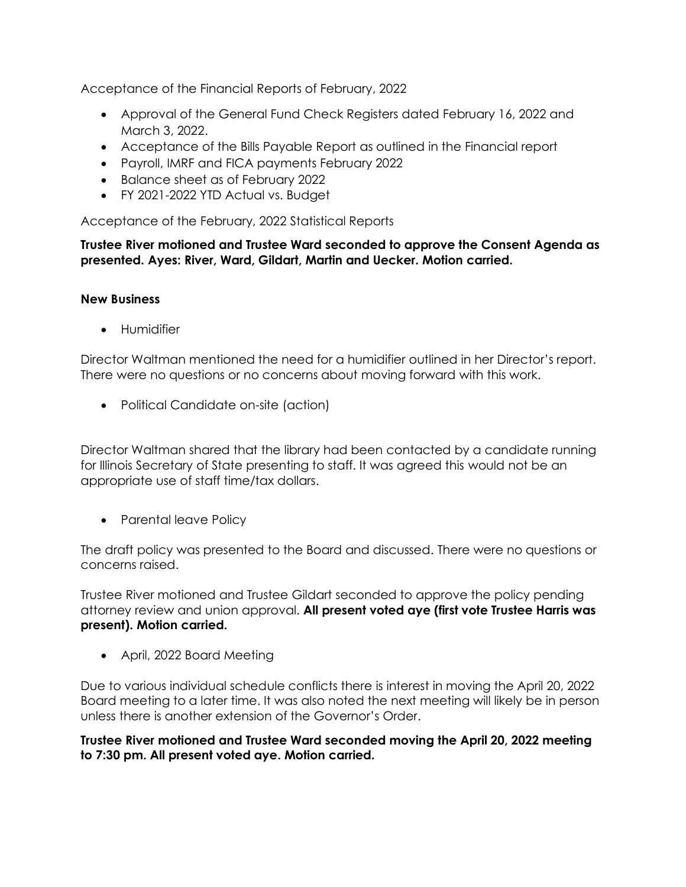Acceptance of the Financial Reports of February, 2022

- Approval of the General Fund Check Registers dated February 16, 2022 and March 3, 2022.
- Acceptance of the Bills Payable Report as outlined in the Financial report
- Payroll, IMRF and FICA payments February 2022
- Balance sheet as of February 2022
- FY 2021-2022 YTD Actual vs. Budget

Acceptance of the February, 2022 Statistical Reports

**Trustee River motioned and Trustee Ward seconded to approve the Consent Agenda as presented. Ayes: River, Ward, Gildart, Martin and Uecker. Motion carried.**

#### **New Business**

• Humidifier

Director Waltman mentioned the need for a humidifier outlined in her Director's report. There were no questions or no concerns about moving forward with this work.

• Political Candidate on-site (action)

Director Waltman shared that the library had been contacted by a candidate running for Illinois Secretary of State presenting to staff. It was agreed this would not be an appropriate use of staff time/tax dollars.

• Parental leave Policy

The draft policy was presented to the Board and discussed. There were no questions or concerns raised.

Trustee River motioned and Trustee Gildart seconded to approve the policy pending attorney review and union approval. **All present voted aye (first vote Trustee Harris was present). Motion carried.**

• April, 2022 Board Meeting

Due to various individual schedule conflicts there is interest in moving the April 20, 2022 Board meeting to a later time. It was also noted the next meeting will likely be in person unless there is another extension of the Governor's Order.

**Trustee River motioned and Trustee Ward seconded moving the April 20, 2022 meeting to 7:30 pm. All present voted aye. Motion carried.**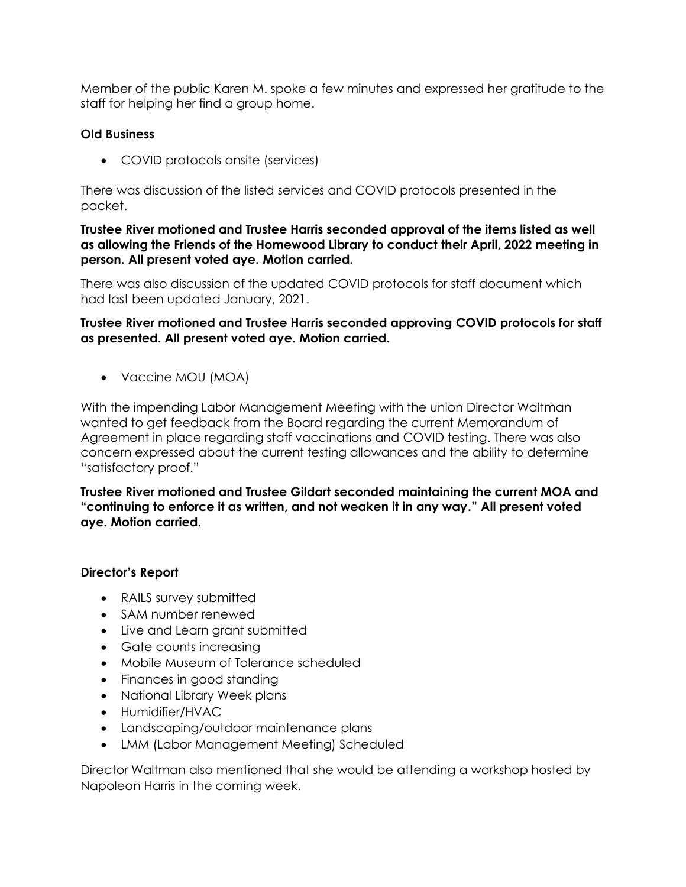Member of the public Karen M. spoke a few minutes and expressed her gratitude to the staff for helping her find a group home.

### **Old Business**

• COVID protocols onsite (services)

There was discussion of the listed services and COVID protocols presented in the packet.

**Trustee River motioned and Trustee Harris seconded approval of the items listed as well as allowing the Friends of the Homewood Library to conduct their April, 2022 meeting in person. All present voted aye. Motion carried.**

There was also discussion of the updated COVID protocols for staff document which had last been updated January, 2021.

**Trustee River motioned and Trustee Harris seconded approving COVID protocols for staff as presented. All present voted aye. Motion carried.**

• Vaccine MOU (MOA)

With the impending Labor Management Meeting with the union Director Waltman wanted to get feedback from the Board regarding the current Memorandum of Agreement in place regarding staff vaccinations and COVID testing. There was also concern expressed about the current testing allowances and the ability to determine "satisfactory proof."

**Trustee River motioned and Trustee Gildart seconded maintaining the current MOA and "continuing to enforce it as written, and not weaken it in any way." All present voted aye. Motion carried.**

#### **Director's Report**

- RAILS survey submitted
- SAM number renewed
- Live and Learn grant submitted
- Gate counts increasing
- Mobile Museum of Tolerance scheduled
- Finances in good standing
- National Library Week plans
- Humidifier/HVAC
- Landscaping/outdoor maintenance plans
- LMM (Labor Management Meeting) Scheduled

Director Waltman also mentioned that she would be attending a workshop hosted by Napoleon Harris in the coming week.